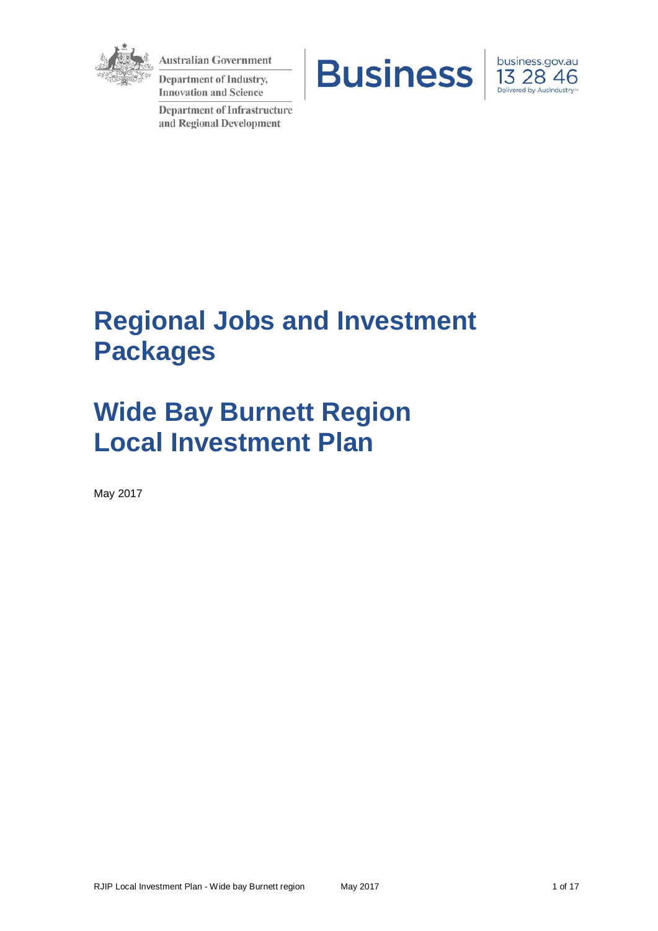

**Australian Government** 

**Department of Industry, Innovation and Science** 

**Department of Infrastructure** and Regional Development





# **Regional Jobs and Investment Packages**

# **Wide Bay Burnett Region Local Investment Plan**

May 2017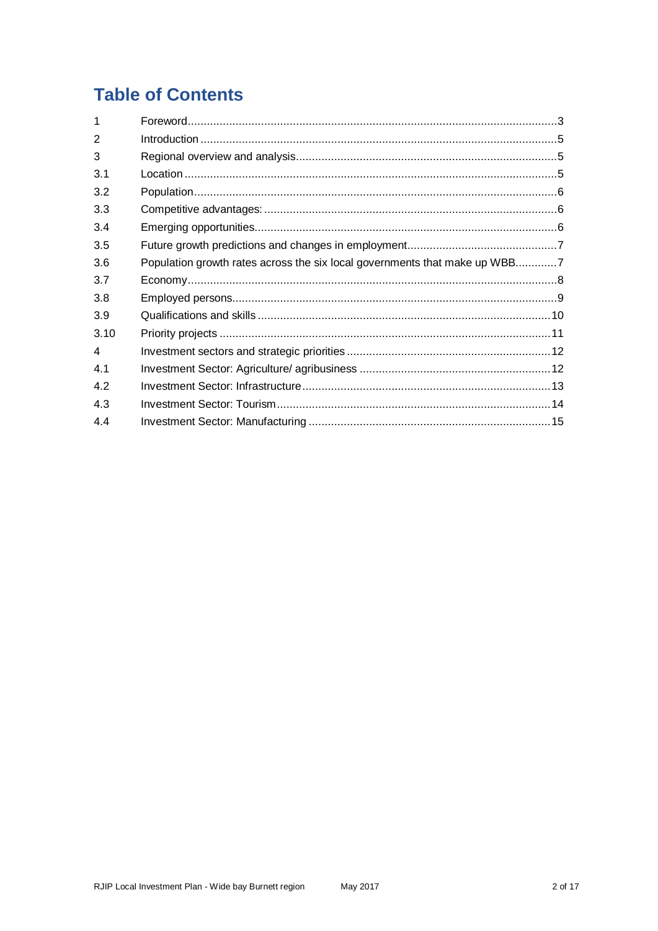# **Table of Contents**

| 1              |                                                                            |
|----------------|----------------------------------------------------------------------------|
| $\overline{2}$ |                                                                            |
| 3              |                                                                            |
| 3.1            |                                                                            |
| 3.2            |                                                                            |
| 3.3            |                                                                            |
| 3.4            |                                                                            |
| 3.5            |                                                                            |
| 3.6            | Population growth rates across the six local governments that make up WBB7 |
| 3.7            |                                                                            |
| 3.8            |                                                                            |
| 3.9            |                                                                            |
| 3.10           |                                                                            |
| 4              |                                                                            |
| 4.1            |                                                                            |
| 4.2            |                                                                            |
| 4.3            |                                                                            |
| 4.4            |                                                                            |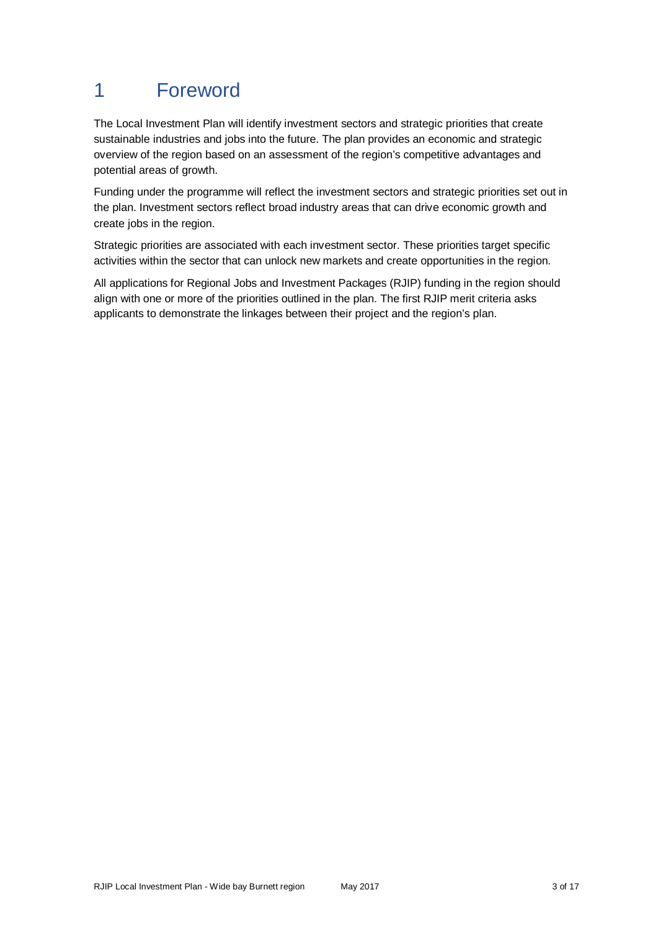# 1 Foreword

The Local Investment Plan will identify investment sectors and strategic priorities that create sustainable industries and jobs into the future. The plan provides an economic and strategic overview of the region based on an assessment of the region's competitive advantages and potential areas of growth.

Funding under the programme will reflect the investment sectors and strategic priorities set out in the plan. Investment sectors reflect broad industry areas that can drive economic growth and create jobs in the region.

Strategic priorities are associated with each investment sector. These priorities target specific activities within the sector that can unlock new markets and create opportunities in the region.

All applications for Regional Jobs and Investment Packages (RJIP) funding in the region should align with one or more of the priorities outlined in the plan. The first RJIP merit criteria asks applicants to demonstrate the linkages between their project and the region's plan.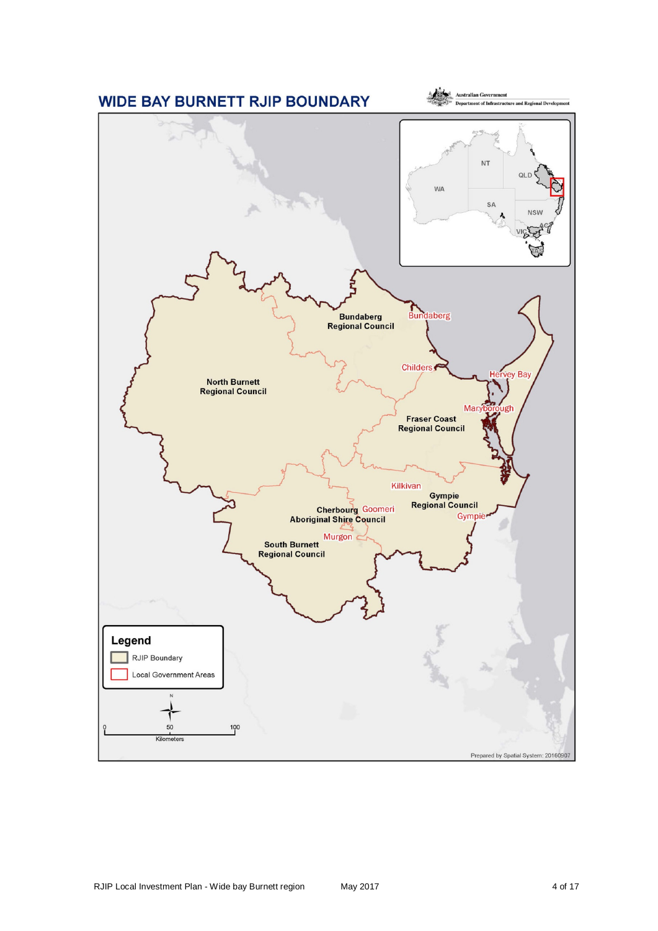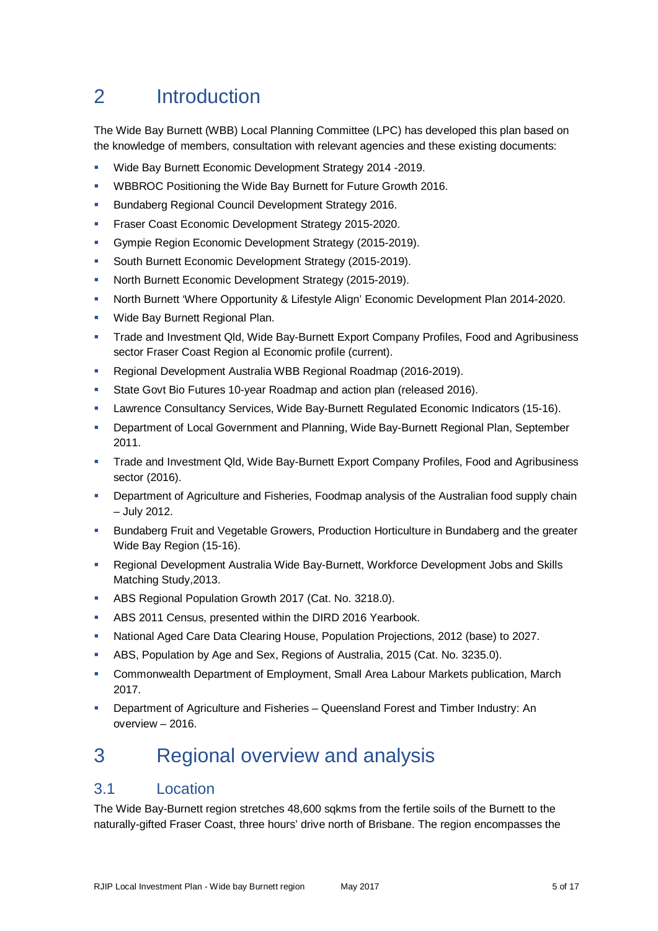# 2 Introduction

The Wide Bay Burnett (WBB) Local Planning Committee (LPC) has developed this plan based on the knowledge of members, consultation with relevant agencies and these existing documents:

- Wide Bay Burnett Economic Development Strategy 2014 -2019.
- WBBROC Positioning the Wide Bay Burnett for Future Growth 2016.
- Bundaberg Regional Council Development Strategy 2016.
- Fraser Coast Economic Development Strategy 2015-2020.
- **Gympie Region Economic Development Strategy (2015-2019).**
- South Burnett Economic Development Strategy (2015-2019).
- North Burnett Economic Development Strategy (2015-2019).
- **North Burnett 'Where Opportunity & Lifestyle Align' Economic Development Plan 2014-2020.**
- **Wide Bay Burnett Regional Plan.**
- Trade and Investment Qld, Wide Bay-Burnett Export Company Profiles, Food and Agribusiness sector Fraser Coast Region al Economic profile (current).
- Regional Development Australia WBB Regional Roadmap (2016-2019).
- **State Govt Bio Futures 10-year Roadmap and action plan (released 2016).**
- **Lawrence Consultancy Services, Wide Bay-Burnett Regulated Economic Indicators (15-16).**
- **Department of Local Government and Planning, Wide Bay-Burnett Regional Plan, September** 2011.
- Trade and Investment Qld, Wide Bay-Burnett Export Company Profiles, Food and Agribusiness sector (2016).
- Department of Agriculture and Fisheries, Foodmap analysis of the Australian food supply chain – July 2012.
- Bundaberg Fruit and Vegetable Growers, Production Horticulture in Bundaberg and the greater Wide Bay Region (15-16).
- Regional Development Australia Wide Bay-Burnett, Workforce Development Jobs and Skills Matching Study,2013.
- **ABS Regional Population Growth 2017 (Cat. No. 3218.0).**
- ABS 2011 Census, presented within the DIRD 2016 Yearbook.
- National Aged Care Data Clearing House, Population Projections, 2012 (base) to 2027.
- ABS, Population by Age and Sex, Regions of Australia, 2015 (Cat. No. 3235.0).
- Commonwealth Department of Employment, Small Area Labour Markets publication, March 2017.
- Department of Agriculture and Fisheries Queensland Forest and Timber Industry: An overview – 2016.

# 3 Regional overview and analysis

### 3.1 Location

The Wide Bay-Burnett region stretches 48,600 sqkms from the fertile soils of the Burnett to the naturally-gifted Fraser Coast, three hours' drive north of Brisbane. The region encompasses the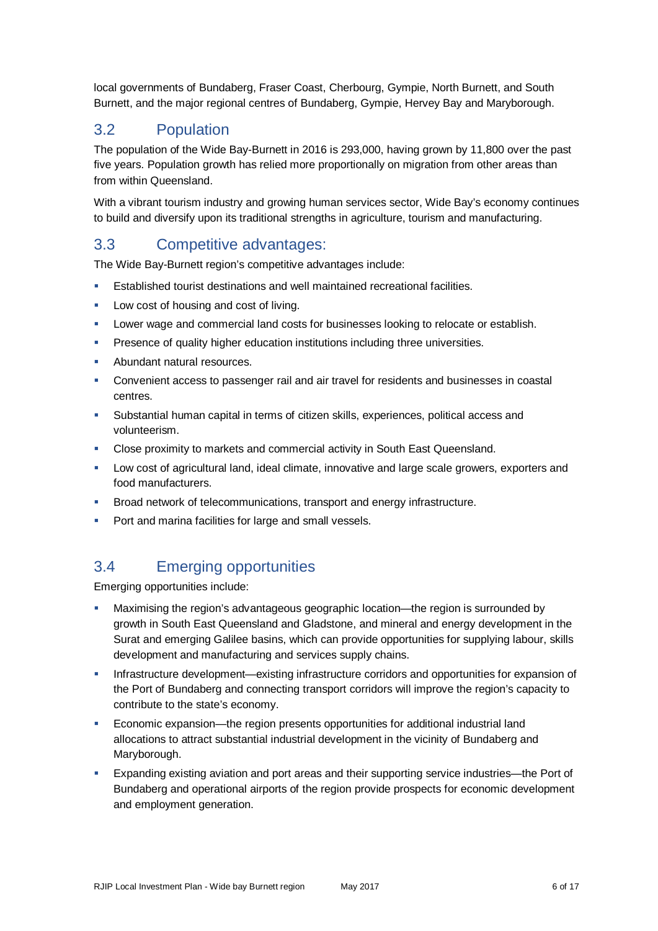local governments of Bundaberg, Fraser Coast, Cherbourg, Gympie, North Burnett, and South Burnett, and the major regional centres of Bundaberg, Gympie, Hervey Bay and Maryborough.

# 3.2 Population

The population of the Wide Bay-Burnett in 2016 is 293,000, having grown by 11,800 over the past five years. Population growth has relied more proportionally on migration from other areas than from within Queensland.

With a vibrant tourism industry and growing human services sector, Wide Bay's economy continues to build and diversify upon its traditional strengths in agriculture, tourism and manufacturing.

## 3.3 Competitive advantages:

The Wide Bay-Burnett region's competitive advantages include:

- Established tourist destinations and well maintained recreational facilities.
- **Low cost of housing and cost of living.**
- **Lower wage and commercial land costs for businesses looking to relocate or establish.**
- **Presence of quality higher education institutions including three universities.**
- **Abundant natural resources.**
- Convenient access to passenger rail and air travel for residents and businesses in coastal centres.
- Substantial human capital in terms of citizen skills, experiences, political access and volunteerism.
- Close proximity to markets and commercial activity in South East Queensland.
- Low cost of agricultural land, ideal climate, innovative and large scale growers, exporters and food manufacturers.
- **Broad network of telecommunications, transport and energy infrastructure.**
- **Port and marina facilities for large and small vessels.**

# 3.4 Emerging opportunities

Emerging opportunities include:

- Maximising the region's advantageous geographic location—the region is surrounded by growth in South East Queensland and Gladstone, and mineral and energy development in the Surat and emerging Galilee basins, which can provide opportunities for supplying labour, skills development and manufacturing and services supply chains.
- Infrastructure development—existing infrastructure corridors and opportunities for expansion of the Port of Bundaberg and connecting transport corridors will improve the region's capacity to contribute to the state's economy.
- Economic expansion—the region presents opportunities for additional industrial land allocations to attract substantial industrial development in the vicinity of Bundaberg and Maryborough.
- Expanding existing aviation and port areas and their supporting service industries—the Port of Bundaberg and operational airports of the region provide prospects for economic development and employment generation.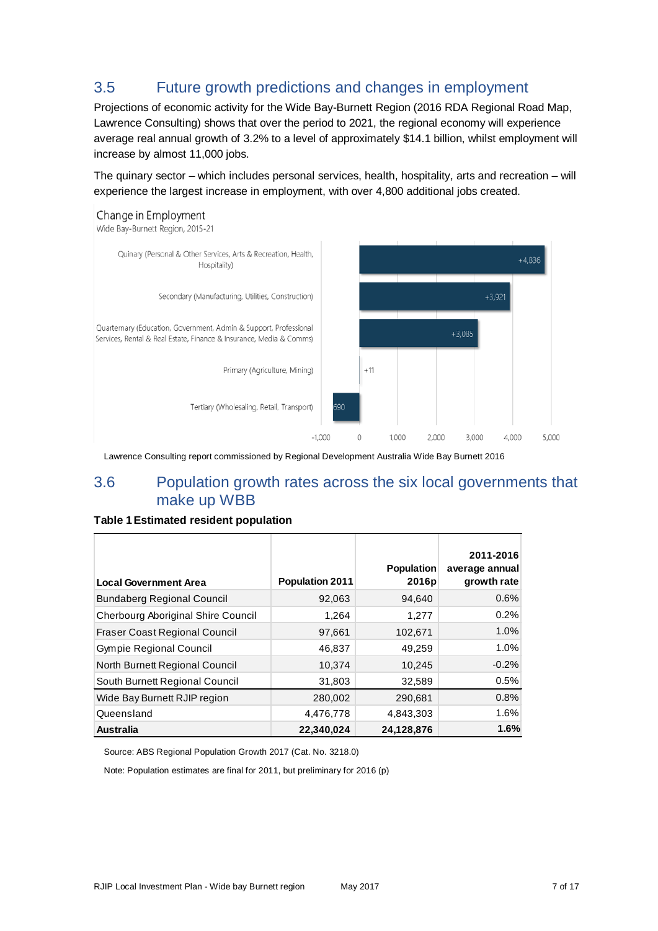# 3.5 Future growth predictions and changes in employment

Projections of economic activity for the Wide Bay-Burnett Region (2016 RDA Regional Road Map, Lawrence Consulting) shows that over the period to 2021, the regional economy will experience average real annual growth of 3.2% to a level of approximately \$14.1 billion, whilst employment will increase by almost 11,000 jobs.

The quinary sector – which includes personal services, health, hospitality, arts and recreation – will experience the largest increase in employment, with over 4,800 additional jobs created.



Lawrence Consulting report commissioned by Regional Development Australia Wide Bay Burnett 2016

### 3.6 Population growth rates across the six local governments that make up WBB

#### **Table 1Estimated resident population**

| <b>Local Government Area</b>         | <b>Population 2011</b> | <b>Population</b><br>2016p | 2011-2016<br>average annual<br>growth rate |
|--------------------------------------|------------------------|----------------------------|--------------------------------------------|
| <b>Bundaberg Regional Council</b>    | 92,063                 | 94,640                     | 0.6%                                       |
| Cherbourg Aboriginal Shire Council   | 1,264                  | 1,277                      | 0.2%                                       |
| <b>Fraser Coast Regional Council</b> | 97,661                 | 102,671                    | 1.0%                                       |
| <b>Gympie Regional Council</b>       | 46,837                 | 49,259                     | 1.0%                                       |
| North Burnett Regional Council       | 10,374                 | 10,245                     | $-0.2%$                                    |
| South Burnett Regional Council       | 31,803                 | 32,589                     | 0.5%                                       |
| Wide Bay Burnett RJIP region         | 280,002                | 290,681                    | 0.8%                                       |
| Queensland                           | 4,476,778              | 4.843.303                  | 1.6%                                       |
| <b>Australia</b>                     | 22.340.024             | 24.128.876                 | 1.6%                                       |

Source: ABS Regional Population Growth 2017 (Cat. No. 3218.0)

Note: Population estimates are final for 2011, but preliminary for 2016 (p)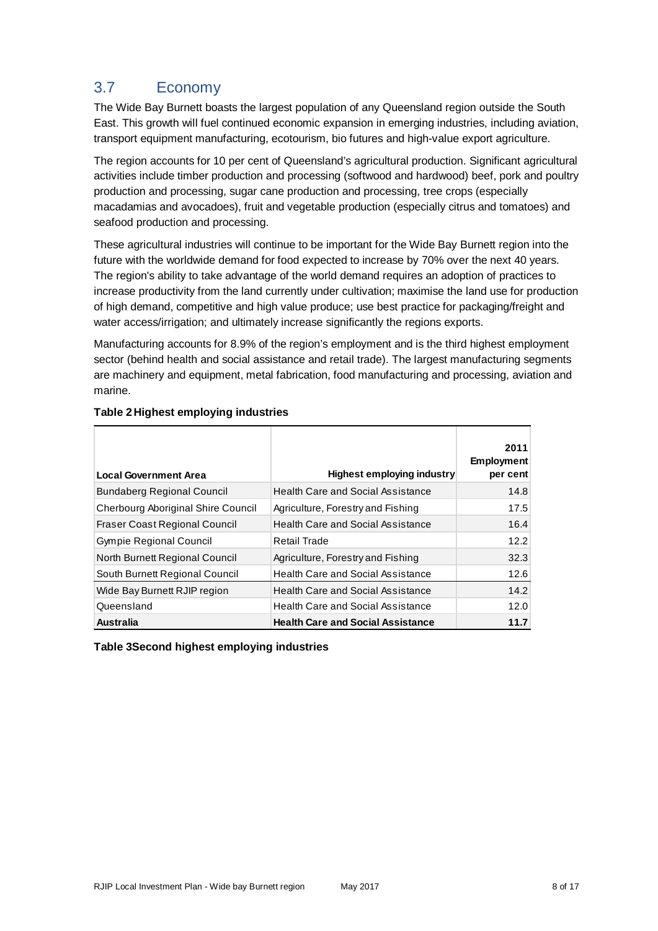# 3.7 Economy

The Wide Bay Burnett boasts the largest population of any Queensland region outside the South East. This growth will fuel continued economic expansion in emerging industries, including aviation, transport equipment manufacturing, ecotourism, bio futures and high-value export agriculture.

The region accounts for 10 per cent of Queensland's agricultural production. Significant agricultural activities include timber production and processing (softwood and hardwood) beef, pork and poultry production and processing, sugar cane production and processing, tree crops (especially macadamias and avocadoes), fruit and vegetable production (especially citrus and tomatoes) and seafood production and processing.

These agricultural industries will continue to be important for the Wide Bay Burnett region into the future with the worldwide demand for food expected to increase by 70% over the next 40 years. The region's ability to take advantage of the world demand requires an adoption of practices to increase productivity from the land currently under cultivation; maximise the land use for production of high demand, competitive and high value produce; use best practice for packaging/freight and water access/irrigation; and ultimately increase significantly the regions exports.

Manufacturing accounts for 8.9% of the region's employment and is the third highest employment sector (behind health and social assistance and retail trade). The largest manufacturing segments are machinery and equipment, metal fabrication, food manufacturing and processing, aviation and marine.

| <b>Local Government Area</b>         | <b>Highest employing industry</b>        | 2011<br><b>Employment</b><br>per cent |
|--------------------------------------|------------------------------------------|---------------------------------------|
| <b>Bundaberg Regional Council</b>    | <b>Health Care and Social Assistance</b> | 14.8                                  |
| Cherbourg Aboriginal Shire Council   | Agriculture, Forestry and Fishing        | 17.5                                  |
| <b>Fraser Coast Regional Council</b> | <b>Health Care and Social Assistance</b> | 16.4                                  |
| <b>Gympie Regional Council</b>       | Retail Trade                             | 12.2                                  |
| North Burnett Regional Council       | Agriculture, Forestry and Fishing        | 32.3                                  |
| South Burnett Regional Council       | <b>Health Care and Social Assistance</b> | 12.6                                  |
| Wide Bay Burnett RJIP region         | <b>Health Care and Social Assistance</b> | 14.2                                  |
| Queensland                           | Health Care and Social Assistance        | 12.0                                  |
| Australia                            | <b>Health Care and Social Assistance</b> | 11.7                                  |

### **Table 2Highest employing industries**

**Table 3Second highest employing industries**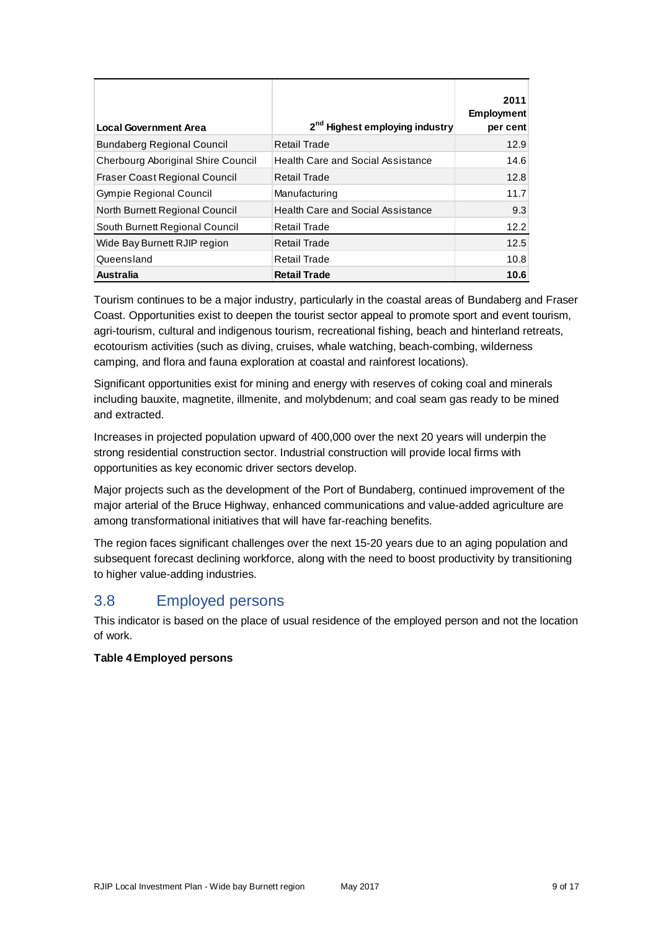| <b>Local Government Area</b>         | 2 <sup>nd</sup> Highest employing industry | 2011<br><b>Employment</b><br>per cent |
|--------------------------------------|--------------------------------------------|---------------------------------------|
| <b>Bundaberg Regional Council</b>    | Retail Trade                               | 12.9                                  |
| Cherbourg Aboriginal Shire Council   | Health Care and Social Assistance          | 14.6                                  |
| <b>Fraser Coast Regional Council</b> | Retail Trade                               | 12.8                                  |
| <b>Gympie Regional Council</b>       | Manufacturing                              | 11.7                                  |
| North Burnett Regional Council       | <b>Health Care and Social Assistance</b>   | 9.3                                   |
| South Burnett Regional Council       | <b>Retail Trade</b>                        | 12.2                                  |
| Wide Bay Burnett RJIP region         | Retail Trade                               | 12.5                                  |
| Queensland                           | Retail Trade                               | 10.8                                  |
| <b>Australia</b>                     | <b>Retail Trade</b>                        | 10.6                                  |

Tourism continues to be a major industry, particularly in the coastal areas of Bundaberg and Fraser Coast. Opportunities exist to deepen the tourist sector appeal to promote sport and event tourism, agri-tourism, cultural and indigenous tourism, recreational fishing, beach and hinterland retreats, ecotourism activities (such as diving, cruises, whale watching, beach-combing, wilderness camping, and flora and fauna exploration at coastal and rainforest locations).

Significant opportunities exist for mining and energy with reserves of coking coal and minerals including bauxite, magnetite, illmenite, and molybdenum; and coal seam gas ready to be mined and extracted.

Increases in projected population upward of 400,000 over the next 20 years will underpin the strong residential construction sector. Industrial construction will provide local firms with opportunities as key economic driver sectors develop.

Major projects such as the development of the Port of Bundaberg, continued improvement of the major arterial of the Bruce Highway, enhanced communications and value-added agriculture are among transformational initiatives that will have far-reaching benefits.

The region faces significant challenges over the next 15-20 years due to an aging population and subsequent forecast declining workforce, along with the need to boost productivity by transitioning to higher value-adding industries.

### 3.8 Employed persons

This indicator is based on the place of usual residence of the employed person and not the location of work.

### **Table 4Employed persons**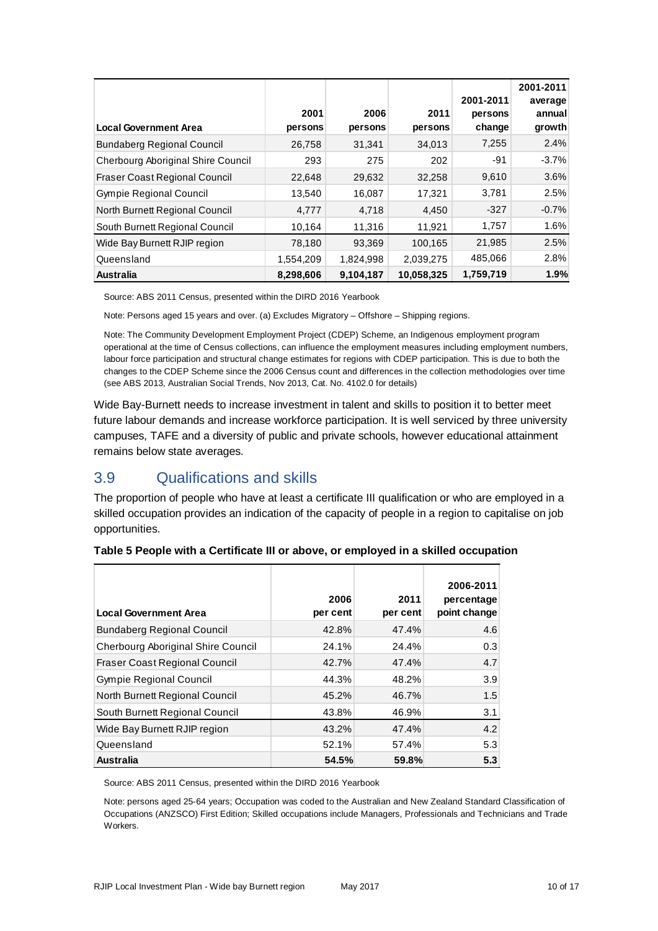| <b>Local Government Area</b>         | 2001<br>persons | 2006<br>persons | 2011<br>persons | 2001-2011<br>persons<br>change | 2001-2011<br>average<br>annual<br>growth |
|--------------------------------------|-----------------|-----------------|-----------------|--------------------------------|------------------------------------------|
| <b>Bundaberg Regional Council</b>    | 26,758          | 31,341          | 34,013          | 7,255                          | 2.4%                                     |
| Cherbourg Aboriginal Shire Council   | 293             | 275             | 202             | $-91$                          | $-3.7%$                                  |
| <b>Fraser Coast Regional Council</b> | 22,648          | 29,632          | 32,258          | 9,610                          | 3.6%                                     |
| <b>Gympie Regional Council</b>       | 13,540          | 16,087          | 17,321          | 3,781                          | 2.5%                                     |
| North Burnett Regional Council       | 4,777           | 4,718           | 4,450           | $-327$                         | $-0.7%$                                  |
| South Burnett Regional Council       | 10,164          | 11,316          | 11,921          | 1,757                          | 1.6%                                     |
| Wide Bay Burnett RJIP region         | 78,180          | 93,369          | 100,165         | 21,985                         | 2.5%                                     |
| Queensland                           | 1,554,209       | 1,824,998       | 2,039,275       | 485,066                        | 2.8%                                     |
| <b>Australia</b>                     | 8,298,606       | 9,104,187       | 10,058,325      | 1,759,719                      | 1.9%                                     |

Source: ABS 2011 Census, presented within the DIRD 2016 Yearbook

Note: Persons aged 15 years and over. (a) Excludes Migratory – Offshore – Shipping regions.

Note: The Community Development Employment Project (CDEP) Scheme, an Indigenous employment program operational at the time of Census collections, can influence the employment measures including employment numbers, labour force participation and structural change estimates for regions with CDEP participation. This is due to both the changes to the CDEP Scheme since the 2006 Census count and differences in the collection methodologies over time (see ABS 2013, Australian Social Trends, Nov 2013, Cat. No. 4102.0 for details)

Wide Bay-Burnett needs to increase investment in talent and skills to position it to better meet future labour demands and increase workforce participation. It is well serviced by three university campuses, TAFE and a diversity of public and private schools, however educational attainment remains below state averages.

## 3.9 Qualifications and skills

The proportion of people who have at least a certificate III qualification or who are employed in a skilled occupation provides an indication of the capacity of people in a region to capitalise on job opportunities.

| <b>Local Government Area</b>         | 2006<br>per cent | 2011<br>per cent | 2006-2011<br>percentage<br>point change |
|--------------------------------------|------------------|------------------|-----------------------------------------|
| <b>Bundaberg Regional Council</b>    | 42.8%            | 47.4%            | 4.6                                     |
| Cherbourg Aboriginal Shire Council   | 24.1%            | 24.4%            | 0.3                                     |
| <b>Fraser Coast Regional Council</b> | 42.7%            | 47.4%            | 4.7                                     |
| <b>Gympie Regional Council</b>       | 44.3%            | 48.2%            | 3.9                                     |
| North Burnett Regional Council       | 45.2%            | 46.7%            | 1.5                                     |
| South Burnett Regional Council       | 43.8%            | 46.9%            | 3.1                                     |
| Wide Bay Burnett RJIP region         | 43.2%            | 47.4%            | 4.2                                     |
| Queensland                           | 52.1%            | 57.4%            | 5.3                                     |
| <b>Australia</b>                     | 54.5%            | 59.8%            | 5.3                                     |

| Table 5 People with a Certificate III or above, or employed in a skilled occupation |  |  |  |  |
|-------------------------------------------------------------------------------------|--|--|--|--|
|-------------------------------------------------------------------------------------|--|--|--|--|

Source: ABS 2011 Census, presented within the DIRD 2016 Yearbook

Note: persons aged 25-64 years; Occupation was coded to the Australian and New Zealand Standard Classification of Occupations (ANZSCO) First Edition; Skilled occupations include Managers, Professionals and Technicians and Trade Workers.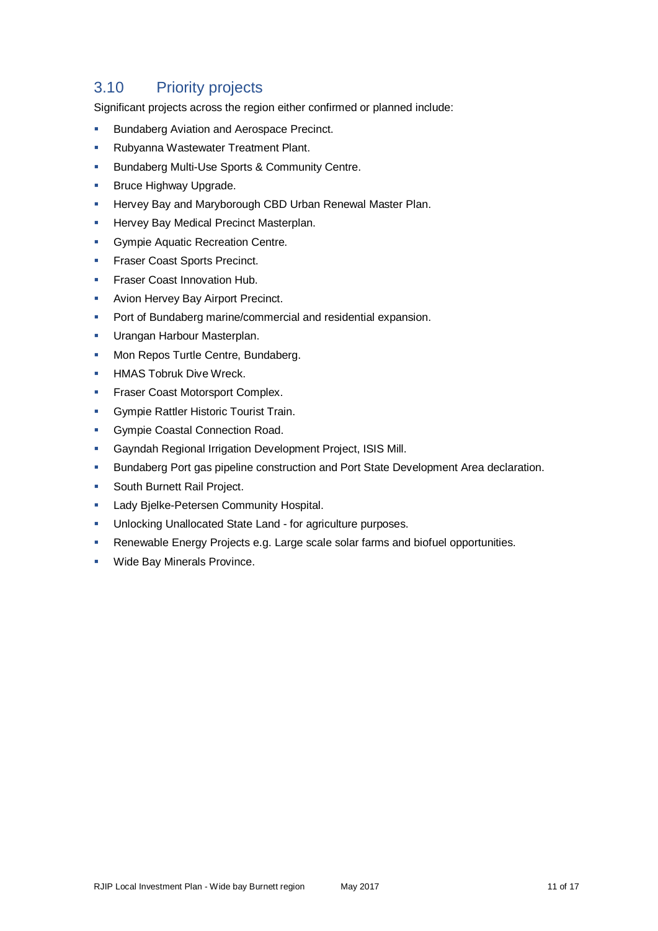# 3.10 Priority projects

Significant projects across the region either confirmed or planned include:

- **Bundaberg Aviation and Aerospace Precinct.**
- **Rubyanna Wastewater Treatment Plant.**
- **Bundaberg Multi-Use Sports & Community Centre.**
- Bruce Highway Upgrade.
- **Hervey Bay and Maryborough CBD Urban Renewal Master Plan.**
- Hervey Bay Medical Precinct Masterplan.
- Gympie Aquatic Recreation Centre.
- Fraser Coast Sports Precinct.
- Fraser Coast Innovation Hub.
- Avion Hervey Bay Airport Precinct.
- Port of Bundaberg marine/commercial and residential expansion.
- **Urangan Harbour Masterplan.**
- **Mon Repos Turtle Centre, Bundaberg.**
- **HMAS Tobruk Dive Wreck.**
- **Fraser Coast Motorsport Complex.**
- **Gympie Rattler Historic Tourist Train.**
- **Gympie Coastal Connection Road.**
- Gayndah Regional Irrigation Development Project, ISIS Mill.
- **Bundaberg Port gas pipeline construction and Port State Development Area declaration.**
- **South Burnett Rail Project.**
- **Lady Bielke-Petersen Community Hospital.**
- **Unlocking Unallocated State Land for agriculture purposes.**
- Renewable Energy Projects e.g. Large scale solar farms and biofuel opportunities.
- **Wide Bay Minerals Province.**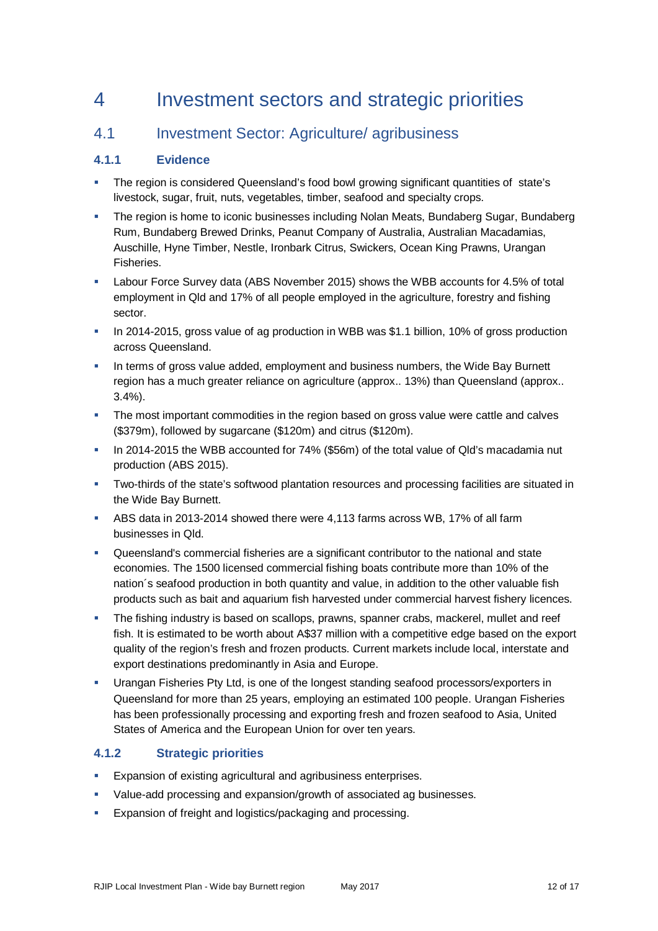# 4 Investment sectors and strategic priorities

### 4.1 Investment Sector: Agriculture/ agribusiness

### **4.1.1 Evidence**

- The region is considered Queensland's food bowl growing significant quantities of state's livestock, sugar, fruit, nuts, vegetables, timber, seafood and specialty crops.
- The region is home to iconic businesses including Nolan Meats, Bundaberg Sugar, Bundaberg Rum, Bundaberg Brewed Drinks, Peanut Company of Australia, Australian Macadamias, Auschille, Hyne Timber, Nestle, Ironbark Citrus, Swickers, Ocean King Prawns, Urangan Fisheries.
- Labour Force Survey data (ABS November 2015) shows the WBB accounts for 4.5% of total employment in Qld and 17% of all people employed in the agriculture, forestry and fishing sector.
- In 2014-2015, gross value of ag production in WBB was \$1.1 billion, 10% of gross production across Queensland.
- In terms of gross value added, employment and business numbers, the Wide Bay Burnett region has a much greater reliance on agriculture (approx.. 13%) than Queensland (approx.. 3.4%).
- The most important commodities in the region based on gross value were cattle and calves (\$379m), followed by sugarcane (\$120m) and citrus (\$120m).
- In 2014-2015 the WBB accounted for 74% (\$56m) of the total value of Qld's macadamia nut production (ABS 2015).
- Two-thirds of the state's softwood plantation resources and processing facilities are situated in the Wide Bay Burnett.
- ABS data in 2013-2014 showed there were 4,113 farms across WB, 17% of all farm businesses in Qld.
- Queensland's commercial fisheries are a significant contributor to the national and state economies. The 1500 licensed commercial fishing boats contribute more than 10% of the nation´s seafood production in both quantity and value, in addition to the other valuable fish products such as bait and aquarium fish harvested under commercial harvest fishery licences.
- The fishing industry is based on scallops, prawns, spanner crabs, mackerel, mullet and reef fish. It is estimated to be worth about A\$37 million with a competitive edge based on the export quality of the region's fresh and frozen products. Current markets include local, interstate and export destinations predominantly in Asia and Europe.
- Urangan Fisheries Pty Ltd, is one of the longest standing seafood processors/exporters in Queensland for more than 25 years, employing an estimated 100 people. Urangan Fisheries has been professionally processing and exporting fresh and frozen seafood to Asia, United States of America and the European Union for over ten years.

### **4.1.2 Strategic priorities**

- Expansion of existing agricultural and agribusiness enterprises.
- Value-add processing and expansion/growth of associated ag businesses.
- Expansion of freight and logistics/packaging and processing.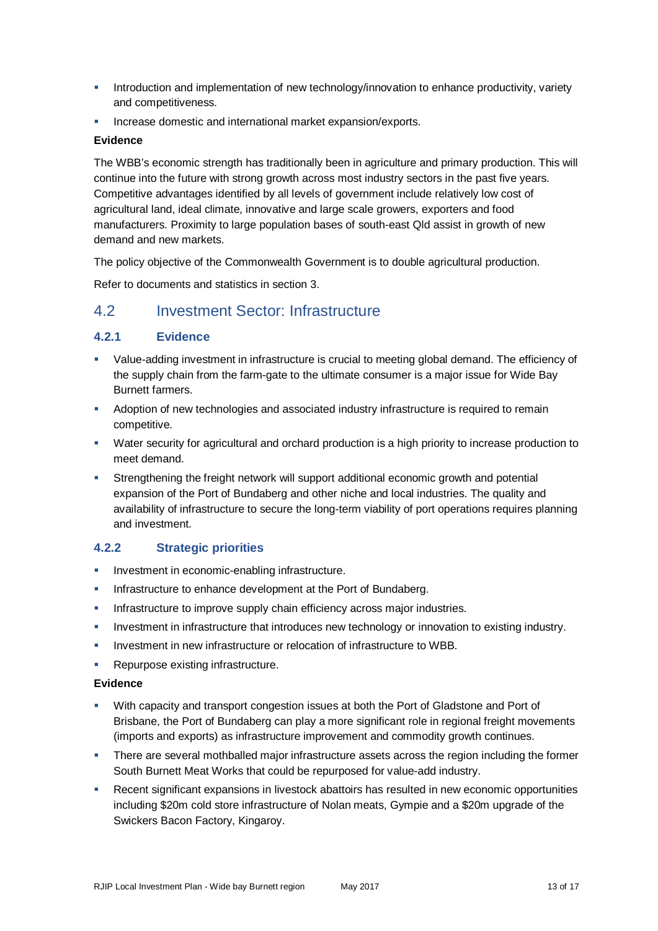- Introduction and implementation of new technology/innovation to enhance productivity, variety and competitiveness.
- Increase domestic and international market expansion/exports.

#### **Evidence**

The WBB's economic strength has traditionally been in agriculture and primary production. This will continue into the future with strong growth across most industry sectors in the past five years. Competitive advantages identified by all levels of government include relatively low cost of agricultural land, ideal climate, innovative and large scale growers, exporters and food manufacturers. Proximity to large population bases of south-east Qld assist in growth of new demand and new markets.

The policy objective of the Commonwealth Government is to double agricultural production.

Refer to documents and statistics in section 3.

### 4.2 Investment Sector: Infrastructure

### **4.2.1 Evidence**

- Value-adding investment in infrastructure is crucial to meeting global demand. The efficiency of the supply chain from the farm-gate to the ultimate consumer is a major issue for Wide Bay Burnett farmers.
- Adoption of new technologies and associated industry infrastructure is required to remain competitive.
- Water security for agricultural and orchard production is a high priority to increase production to meet demand.
- Strengthening the freight network will support additional economic growth and potential expansion of the Port of Bundaberg and other niche and local industries. The quality and availability of infrastructure to secure the long-term viability of port operations requires planning and investment.

### **4.2.2 Strategic priorities**

- **Investment in economic-enabling infrastructure.**
- Infrastructure to enhance development at the Port of Bundaberg.
- Infrastructure to improve supply chain efficiency across major industries.
- Investment in infrastructure that introduces new technology or innovation to existing industry.
- Investment in new infrastructure or relocation of infrastructure to WBB.
- Repurpose existing infrastructure.

#### **Evidence**

- With capacity and transport congestion issues at both the Port of Gladstone and Port of Brisbane, the Port of Bundaberg can play a more significant role in regional freight movements (imports and exports) as infrastructure improvement and commodity growth continues.
- **There are several mothballed major infrastructure assets across the region including the former** South Burnett Meat Works that could be repurposed for value-add industry.
- Recent significant expansions in livestock abattoirs has resulted in new economic opportunities including \$20m cold store infrastructure of Nolan meats, Gympie and a \$20m upgrade of the Swickers Bacon Factory, Kingaroy.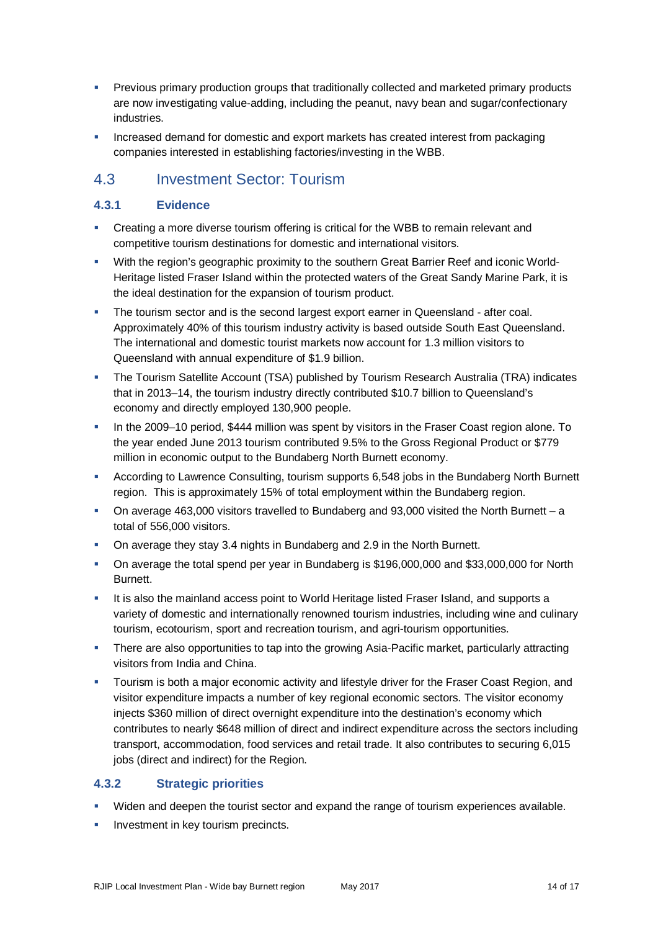- **Previous primary production groups that traditionally collected and marketed primary products** are now investigating value-adding, including the peanut, navy bean and sugar/confectionary industries.
- Increased demand for domestic and export markets has created interest from packaging companies interested in establishing factories/investing in the WBB.

### 4.3 Investment Sector: Tourism

### **4.3.1 Evidence**

- Creating a more diverse tourism offering is critical for the WBB to remain relevant and competitive tourism destinations for domestic and international visitors.
- With the region's geographic proximity to the southern Great Barrier Reef and iconic World-Heritage listed Fraser Island within the protected waters of the Great Sandy Marine Park, it is the ideal destination for the expansion of tourism product.
- The tourism sector and is the second largest export earner in Queensland after coal. Approximately 40% of this tourism industry activity is based outside South East Queensland. The international and domestic tourist markets now account for 1.3 million visitors to Queensland with annual expenditure of \$1.9 billion.
- The Tourism Satellite Account (TSA) published by Tourism Research Australia (TRA) indicates that in 2013–14, the tourism industry directly contributed \$10.7 billion to Queensland's economy and directly employed 130,900 people.
- In the 2009–10 period, \$444 million was spent by visitors in the Fraser Coast region alone. To the year ended June 2013 tourism contributed 9.5% to the Gross Regional Product or \$779 million in economic output to the Bundaberg North Burnett economy.
- According to Lawrence Consulting, tourism supports 6,548 jobs in the Bundaberg North Burnett region. This is approximately 15% of total employment within the Bundaberg region.
- On average 463,000 visitors travelled to Bundaberg and 93,000 visited the North Burnett a total of 556,000 visitors.
- On average they stay 3.4 nights in Bundaberg and 2.9 in the North Burnett.
- On average the total spend per year in Bundaberg is \$196,000,000 and \$33,000,000 for North Burnett.
- It is also the mainland access point to World Heritage listed Fraser Island, and supports a variety of domestic and internationally renowned tourism industries, including wine and culinary tourism, ecotourism, sport and recreation tourism, and agri-tourism opportunities.
- **There are also opportunities to tap into the growing Asia-Pacific market, particularly attracting** visitors from India and China.
- Tourism is both a major economic activity and lifestyle driver for the Fraser Coast Region, and visitor expenditure impacts a number of key regional economic sectors. The visitor economy injects \$360 million of direct overnight expenditure into the destination's economy which contributes to nearly \$648 million of direct and indirect expenditure across the sectors including transport, accommodation, food services and retail trade. It also contributes to securing 6,015 jobs (direct and indirect) for the Region.

### **4.3.2 Strategic priorities**

- Widen and deepen the tourist sector and expand the range of tourism experiences available.
- Investment in key tourism precincts.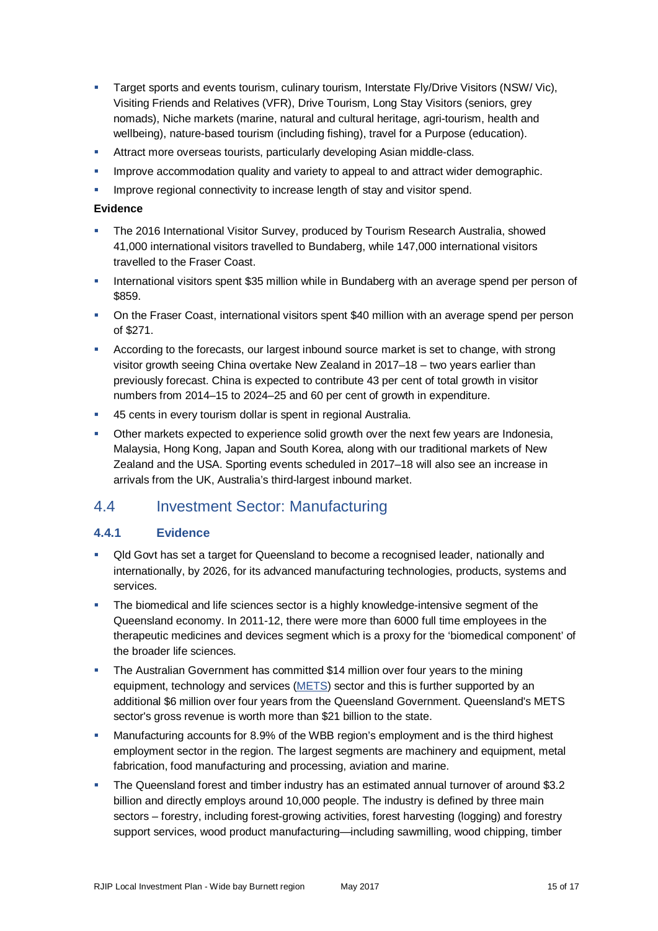- Target sports and events tourism, culinary tourism, Interstate Fly/Drive Visitors (NSW/ Vic), Visiting Friends and Relatives (VFR), Drive Tourism, Long Stay Visitors (seniors, grey nomads), Niche markets (marine, natural and cultural heritage, agri-tourism, health and wellbeing), nature-based tourism (including fishing), travel for a Purpose (education).
- **Attract more overseas tourists, particularly developing Asian middle-class.**
- **IMPROVE ACCOMMODATION quality and variety to appeal to and attract wider demographic.**
- **IMPROVE regional connectivity to increase length of stay and visitor spend.**

#### **Evidence**

- The 2016 International Visitor Survey, produced by Tourism Research Australia, showed 41,000 international visitors travelled to Bundaberg, while 147,000 international visitors travelled to the Fraser Coast.
- **International visitors spent \$35 million while in Bundaberg with an average spend per person of** \$859.
- On the Fraser Coast, international visitors spent \$40 million with an average spend per person of \$271.
- According to the forecasts, our largest inbound source market is set to change, with strong visitor growth seeing China overtake New Zealand in 2017–18 – two years earlier than previously forecast. China is expected to contribute 43 per cent of total growth in visitor numbers from 2014–15 to 2024–25 and 60 per cent of growth in expenditure.
- 45 cents in every tourism dollar is spent in regional Australia.
- Other markets expected to experience solid growth over the next few years are Indonesia, Malaysia, Hong Kong, Japan and South Korea, along with our traditional markets of New Zealand and the USA. Sporting events scheduled in 2017–18 will also see an increase in arrivals from the UK, Australia's third-largest inbound market.

### 4.4 Investment Sector: Manufacturing

### **4.4.1 Evidence**

- Qld Govt has set a target for Queensland to become a recognised leader, nationally and internationally, by 2026, for its advanced manufacturing technologies, products, systems and services.
- The biomedical and life sciences sector is a highly knowledge-intensive segment of the Queensland economy. In 2011-12, there were more than 6000 full time employees in the therapeutic medicines and devices segment which is a proxy for the 'biomedical component' of the broader life sciences.
- The Australian Government has committed \$14 million over four years to the mining equipment, technology and services [\(METS\)](http://www.statedevelopment.qld.gov.au/mining-equipment-technology-and-services/industry-development/mining-equipment-technology-and-services.html) sector and this is further supported by an additional \$6 million over four years from the Queensland Government. Queensland's METS sector's gross revenue is worth more than \$21 billion to the state.
- Manufacturing accounts for 8.9% of the WBB region's employment and is the third highest employment sector in the region. The largest segments are machinery and equipment, metal fabrication, food manufacturing and processing, aviation and marine.
- The Queensland forest and timber industry has an estimated annual turnover of around \$3.2 billion and directly employs around 10,000 people. The industry is defined by three main sectors – forestry, including forest-growing activities, forest harvesting (logging) and forestry support services, wood product manufacturing—including sawmilling, wood chipping, timber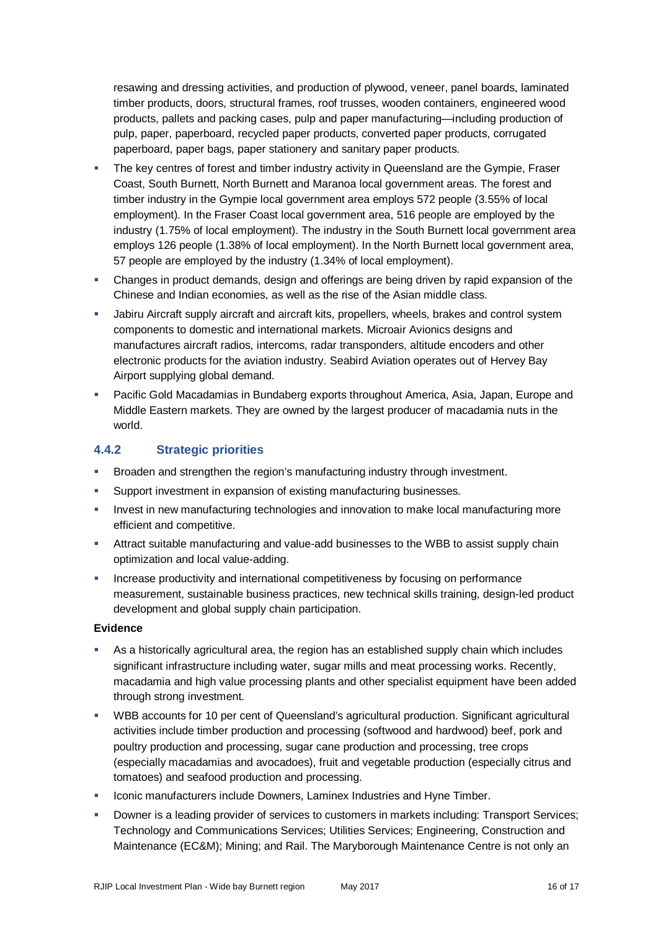resawing and dressing activities, and production of plywood, veneer, panel boards, laminated timber products, doors, structural frames, roof trusses, wooden containers, engineered wood products, pallets and packing cases, pulp and paper manufacturing—including production of pulp, paper, paperboard, recycled paper products, converted paper products, corrugated paperboard, paper bags, paper stationery and sanitary paper products.

- The key centres of forest and timber industry activity in Queensland are the Gympie, Fraser Coast, South Burnett, North Burnett and Maranoa local government areas. The forest and timber industry in the Gympie local government area employs 572 people (3.55% of local employment). In the Fraser Coast local government area, 516 people are employed by the industry (1.75% of local employment). The industry in the South Burnett local government area employs 126 people (1.38% of local employment). In the North Burnett local government area, 57 people are employed by the industry (1.34% of local employment).
- Changes in product demands, design and offerings are being driven by rapid expansion of the Chinese and Indian economies, as well as the rise of the Asian middle class.
- Jabiru Aircraft supply aircraft and aircraft kits, propellers, wheels, brakes and control system components to domestic and international markets. Microair Avionics designs and manufactures aircraft radios, intercoms, radar transponders, altitude encoders and other electronic products for the aviation industry. Seabird Aviation operates out of Hervey Bay Airport supplying global demand.
- Pacific Gold Macadamias in Bundaberg exports throughout America, Asia, Japan, Europe and Middle Eastern markets. They are owned by the largest producer of macadamia nuts in the world.

### **4.4.2 Strategic priorities**

- Broaden and strengthen the region's manufacturing industry through investment.
- Support investment in expansion of existing manufacturing businesses.
- **Invest in new manufacturing technologies and innovation to make local manufacturing more** efficient and competitive.
- Attract suitable manufacturing and value-add businesses to the WBB to assist supply chain optimization and local value-adding.
- Increase productivity and international competitiveness by focusing on performance measurement, sustainable business practices, new technical skills training, design-led product development and global supply chain participation.

#### **Evidence**

- As a historically agricultural area, the region has an established supply chain which includes significant infrastructure including water, sugar mills and meat processing works. Recently, macadamia and high value processing plants and other specialist equipment have been added through strong investment.
- WBB accounts for 10 per cent of Queensland's agricultural production. Significant agricultural activities include timber production and processing (softwood and hardwood) beef, pork and poultry production and processing, sugar cane production and processing, tree crops (especially macadamias and avocadoes), fruit and vegetable production (especially citrus and tomatoes) and seafood production and processing.
- Iconic manufacturers include Downers, Laminex Industries and Hyne Timber.
- **Downer is a leading provider of services to customers in markets including: Transport Services;** Technology and Communications Services; Utilities Services; Engineering, Construction and Maintenance (EC&M); Mining; and Rail. The Maryborough Maintenance Centre is not only an